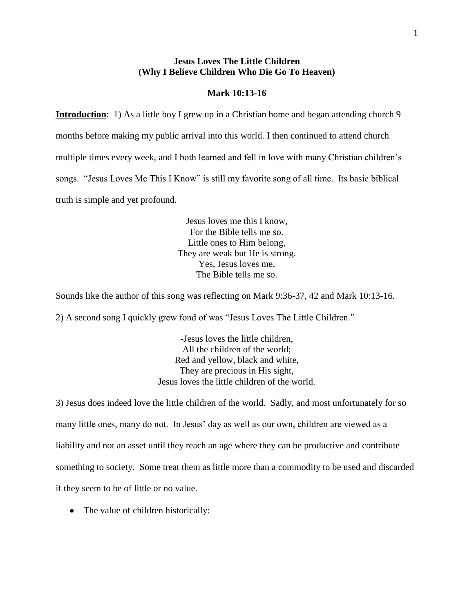# **Jesus Loves The Little Children (Why I Believe Children Who Die Go To Heaven)**

## **Mark 10:13-16**

**Introduction**: 1) As a little boy I grew up in a Christian home and began attending church 9 months before making my public arrival into this world. I then continued to attend church multiple times every week, and I both learned and fell in love with many Christian children's songs. "Jesus Loves Me This I Know" is still my favorite song of all time. Its basic biblical truth is simple and yet profound.

> Jesus loves me this I know, For the Bible tells me so. Little ones to Him belong, They are weak but He is strong. Yes, Jesus loves me, The Bible tells me so.

Sounds like the author of this song was reflecting on Mark 9:36-37, 42 and Mark 10:13-16.

2) A second song I quickly grew fond of was "Jesus Loves The Little Children."

-Jesus loves the little children, All the children of the world; Red and yellow, black and white, They are precious in His sight, Jesus loves the little children of the world.

3) Jesus does indeed love the little children of the world. Sadly, and most unfortunately for so many little ones, many do not. In Jesus' day as well as our own, children are viewed as a liability and not an asset until they reach an age where they can be productive and contribute something to society. Some treat them as little more than a commodity to be used and discarded if they seem to be of little or no value.

• The value of children historically: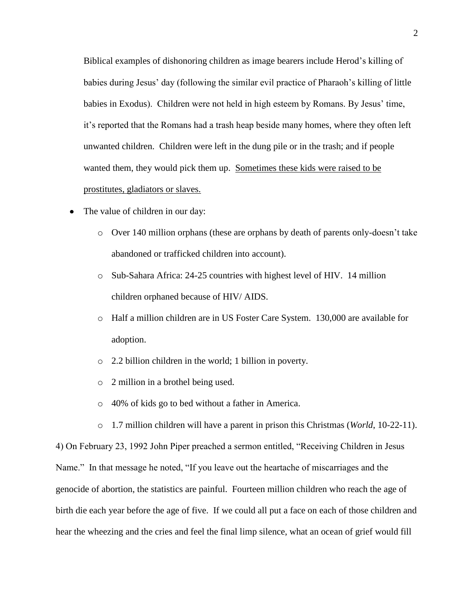Biblical examples of dishonoring children as image bearers include Herod's killing of babies during Jesus' day (following the similar evil practice of Pharaoh's killing of little babies in Exodus). Children were not held in high esteem by Romans. By Jesus' time, it's reported that the Romans had a trash heap beside many homes, where they often left unwanted children. Children were left in the dung pile or in the trash; and if people wanted them, they would pick them up. Sometimes these kids were raised to be prostitutes, gladiators or slaves.

- The value of children in our day:  $\bullet$ 
	- o Over 140 million orphans (these are orphans by death of parents only-doesn't take abandoned or trafficked children into account).
	- o Sub-Sahara Africa: 24-25 countries with highest level of HIV. 14 million children orphaned because of HIV/ AIDS.
	- o Half a million children are in US Foster Care System. 130,000 are available for adoption.
	- o 2.2 billion children in the world; 1 billion in poverty.
	- o 2 million in a brothel being used.
	- o 40% of kids go to bed without a father in America.
	- o 1.7 million children will have a parent in prison this Christmas (*World*, 10-22-11).

4) On February 23, 1992 John Piper preached a sermon entitled, "Receiving Children in Jesus Name." In that message he noted, "If you leave out the heartache of miscarriages and the genocide of abortion, the statistics are painful. Fourteen million children who reach the age of birth die each year before the age of five. If we could all put a face on each of those children and hear the wheezing and the cries and feel the final limp silence, what an ocean of grief would fill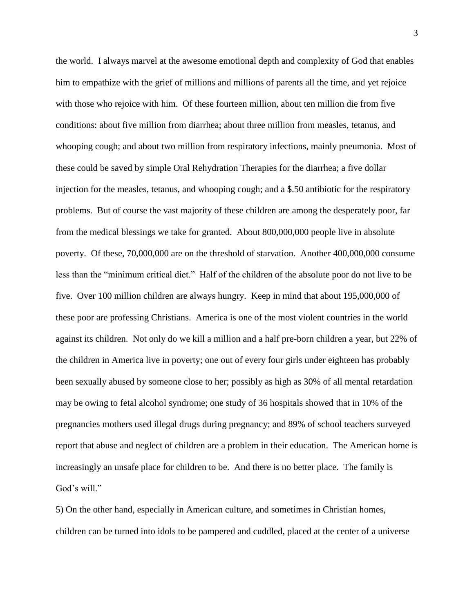the world. I always marvel at the awesome emotional depth and complexity of God that enables him to empathize with the grief of millions and millions of parents all the time, and yet rejoice with those who rejoice with him. Of these fourteen million, about ten million die from five conditions: about five million from diarrhea; about three million from measles, tetanus, and whooping cough; and about two million from respiratory infections, mainly pneumonia. Most of these could be saved by simple Oral Rehydration Therapies for the diarrhea; a five dollar injection for the measles, tetanus, and whooping cough; and a \$.50 antibiotic for the respiratory problems. But of course the vast majority of these children are among the desperately poor, far from the medical blessings we take for granted. About 800,000,000 people live in absolute poverty. Of these, 70,000,000 are on the threshold of starvation. Another 400,000,000 consume less than the "minimum critical diet." Half of the children of the absolute poor do not live to be five. Over 100 million children are always hungry. Keep in mind that about 195,000,000 of these poor are professing Christians. America is one of the most violent countries in the world against its children. Not only do we kill a million and a half pre-born children a year, but 22% of the children in America live in poverty; one out of every four girls under eighteen has probably been sexually abused by someone close to her; possibly as high as 30% of all mental retardation may be owing to fetal alcohol syndrome; one study of 36 hospitals showed that in 10% of the pregnancies mothers used illegal drugs during pregnancy; and 89% of school teachers surveyed report that abuse and neglect of children are a problem in their education. The American home is increasingly an unsafe place for children to be. And there is no better place. The family is God's will."

5) On the other hand, especially in American culture, and sometimes in Christian homes, children can be turned into idols to be pampered and cuddled, placed at the center of a universe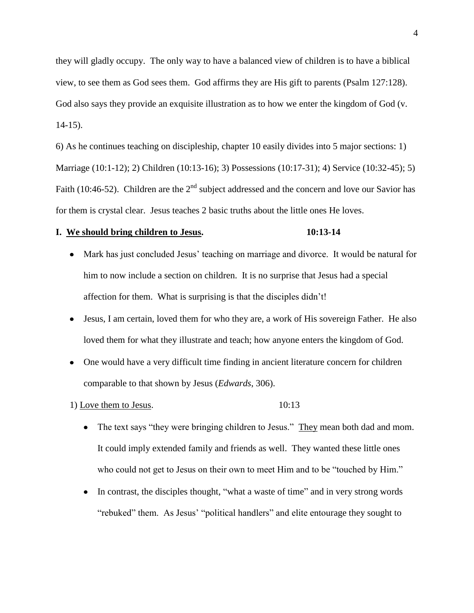they will gladly occupy. The only way to have a balanced view of children is to have a biblical view, to see them as God sees them. God affirms they are His gift to parents (Psalm 127:128). God also says they provide an exquisite illustration as to how we enter the kingdom of God (v. 14-15).

6) As he continues teaching on discipleship, chapter 10 easily divides into 5 major sections: 1) Marriage (10:1-12); 2) Children (10:13-16); 3) Possessions (10:17-31); 4) Service (10:32-45); 5) Faith (10:46-52). Children are the  $2<sup>nd</sup>$  subject addressed and the concern and love our Savior has for them is crystal clear. Jesus teaches 2 basic truths about the little ones He loves.

### **I. We should bring children to Jesus. 10:13-14**

- Mark has just concluded Jesus' teaching on marriage and divorce. It would be natural for him to now include a section on children. It is no surprise that Jesus had a special affection for them. What is surprising is that the disciples didn't!
- Jesus, I am certain, loved them for who they are, a work of His sovereign Father. He also loved them for what they illustrate and teach; how anyone enters the kingdom of God.
- One would have a very difficult time finding in ancient literature concern for children comparable to that shown by Jesus (*Edwards*, 306).

1) Love them to Jesus. 10:13

- The text says "they were bringing children to Jesus." They mean both dad and mom. It could imply extended family and friends as well. They wanted these little ones who could not get to Jesus on their own to meet Him and to be "touched by Him."
- In contrast, the disciples thought, "what a waste of time" and in very strong words  $\bullet$ "rebuked" them. As Jesus' "political handlers" and elite entourage they sought to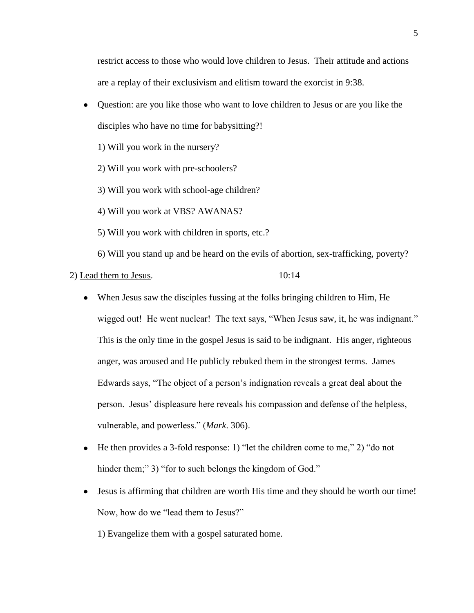restrict access to those who would love children to Jesus. Their attitude and actions are a replay of their exclusivism and elitism toward the exorcist in 9:38.

Question: are you like those who want to love children to Jesus or are you like the  $\bullet$ disciples who have no time for babysitting?!

1) Will you work in the nursery?

2) Will you work with pre-schoolers?

3) Will you work with school-age children?

4) Will you work at VBS? AWANAS?

5) Will you work with children in sports, etc.?

6) Will you stand up and be heard on the evils of abortion, sex-trafficking, poverty?

2) Lead them to Jesus. 10:14

- When Jesus saw the disciples fussing at the folks bringing children to Him, He wigged out! He went nuclear! The text says, "When Jesus saw, it, he was indignant." This is the only time in the gospel Jesus is said to be indignant. His anger, righteous anger, was aroused and He publicly rebuked them in the strongest terms. James Edwards says, "The object of a person's indignation reveals a great deal about the person. Jesus' displeasure here reveals his compassion and defense of the helpless, vulnerable, and powerless." (*Mark*. 306).
- He then provides a 3-fold response: 1) "let the children come to me," 2) "do not  $\bullet$ hinder them;" 3) "for to such belongs the kingdom of God."
- Jesus is affirming that children are worth His time and they should be worth our time! Now, how do we "lead them to Jesus?"

1) Evangelize them with a gospel saturated home.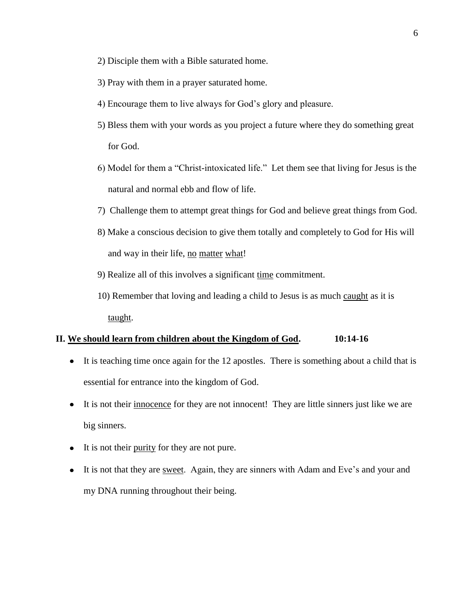- 2) Disciple them with a Bible saturated home.
- 3) Pray with them in a prayer saturated home.
- 4) Encourage them to live always for God's glory and pleasure.
- 5) Bless them with your words as you project a future where they do something great for God.
- 6) Model for them a "Christ-intoxicated life." Let them see that living for Jesus is the natural and normal ebb and flow of life.
- 7) Challenge them to attempt great things for God and believe great things from God.
- 8) Make a conscious decision to give them totally and completely to God for His will and way in their life, no matter what!
- 9) Realize all of this involves a significant time commitment.
- 10) Remember that loving and leading a child to Jesus is as much caught as it is taught.

### **II. We should learn from children about the Kingdom of God. 10:14-16**

- It is teaching time once again for the 12 apostles. There is something about a child that is essential for entrance into the kingdom of God.
- It is not their innocence for they are not innocent! They are little sinners just like we are big sinners.
- It is not their purity for they are not pure.
- It is not that they are sweet. Again, they are sinners with Adam and Eve's and your and my DNA running throughout their being.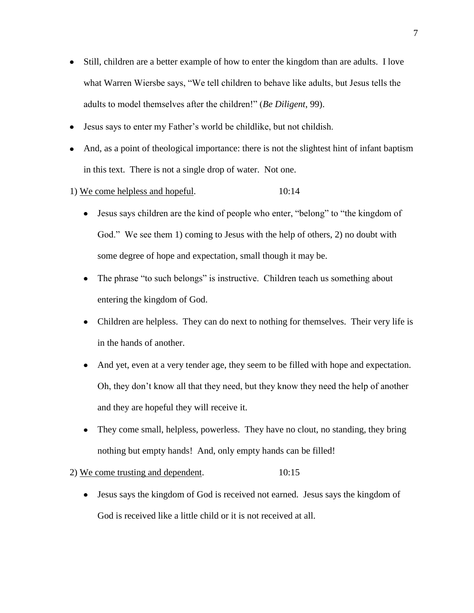- Still, children are a better example of how to enter the kingdom than are adults. I love what Warren Wiersbe says, "We tell children to behave like adults, but Jesus tells the adults to model themselves after the children!" (*Be Diligent*, 99).
- Jesus says to enter my Father's world be childlike, but not childish.
- And, as a point of theological importance: there is not the slightest hint of infant baptism in this text. There is not a single drop of water. Not one.
- 1) We come helpless and hopeful. 10:14
	- Jesus says children are the kind of people who enter, "belong" to "the kingdom of God." We see them 1) coming to Jesus with the help of others, 2) no doubt with some degree of hope and expectation, small though it may be.
	- The phrase "to such belongs" is instructive. Children teach us something about entering the kingdom of God.
	- Children are helpless. They can do next to nothing for themselves. Their very life is in the hands of another.
	- $\bullet$ And yet, even at a very tender age, they seem to be filled with hope and expectation. Oh, they don't know all that they need, but they know they need the help of another and they are hopeful they will receive it.
	- They come small, helpless, powerless. They have no clout, no standing, they bring nothing but empty hands! And, only empty hands can be filled!

# 2) We come trusting and dependent. 10:15

Jesus says the kingdom of God is received not earned. Jesus says the kingdom of God is received like a little child or it is not received at all.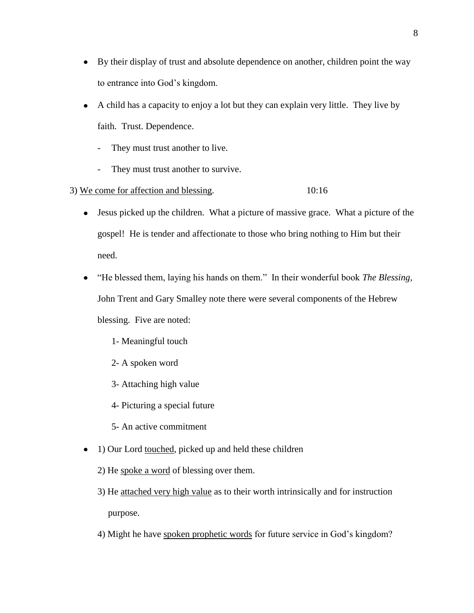- By their display of trust and absolute dependence on another, children point the way to entrance into God's kingdom.
- A child has a capacity to enjoy a lot but they can explain very little. They live by faith. Trust. Dependence.
	- They must trust another to live.
	- They must trust another to survive.
- 3) We come for affection and blessing. 10:16
	- Jesus picked up the children. What a picture of massive grace. What a picture of the gospel! He is tender and affectionate to those who bring nothing to Him but their need.
	- "He blessed them, laying his hands on them." In their wonderful book *The Blessing,*  $\bullet$ John Trent and Gary Smalley note there were several components of the Hebrew blessing. Five are noted:
		- 1- Meaningful touch
		- 2- A spoken word
		- 3- Attaching high value
		- 4- Picturing a special future
		- 5- An active commitment
	- 1) Our Lord touched, picked up and held these children
		- 2) He spoke a word of blessing over them.
		- 3) He attached very high value as to their worth intrinsically and for instruction purpose.
		- 4) Might he have spoken prophetic words for future service in God's kingdom?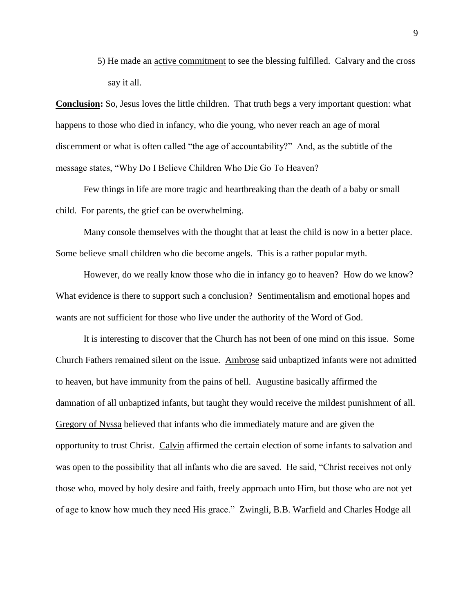5) He made an active commitment to see the blessing fulfilled. Calvary and the cross say it all.

**Conclusion:** So, Jesus loves the little children. That truth begs a very important question: what happens to those who died in infancy, who die young, who never reach an age of moral discernment or what is often called "the age of accountability?" And, as the subtitle of the message states, "Why Do I Believe Children Who Die Go To Heaven?

Few things in life are more tragic and heartbreaking than the death of a baby or small child. For parents, the grief can be overwhelming.

Many console themselves with the thought that at least the child is now in a better place. Some believe small children who die become angels. This is a rather popular myth.

However, do we really know those who die in infancy go to heaven? How do we know? What evidence is there to support such a conclusion? Sentimentalism and emotional hopes and wants are not sufficient for those who live under the authority of the Word of God.

It is interesting to discover that the Church has not been of one mind on this issue. Some Church Fathers remained silent on the issue. Ambrose said unbaptized infants were not admitted to heaven, but have immunity from the pains of hell. Augustine basically affirmed the damnation of all unbaptized infants, but taught they would receive the mildest punishment of all. Gregory of Nyssa believed that infants who die immediately mature and are given the opportunity to trust Christ. Calvin affirmed the certain election of some infants to salvation and was open to the possibility that all infants who die are saved. He said, "Christ receives not only those who, moved by holy desire and faith, freely approach unto Him, but those who are not yet of age to know how much they need His grace." Zwingli, B.B. Warfield and Charles Hodge all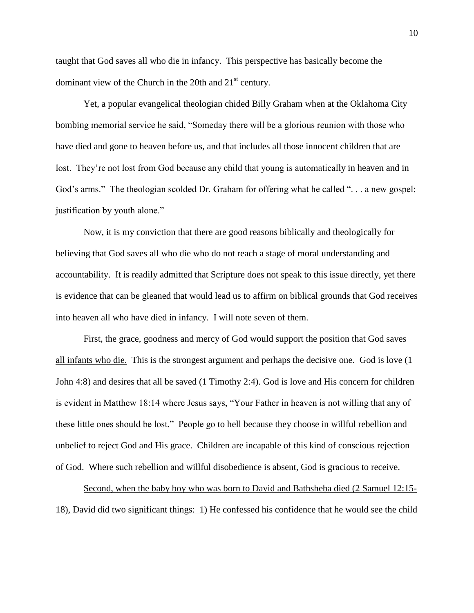taught that God saves all who die in infancy. This perspective has basically become the dominant view of the Church in the 20th and  $21<sup>st</sup>$  century.

Yet, a popular evangelical theologian chided Billy Graham when at the Oklahoma City bombing memorial service he said, "Someday there will be a glorious reunion with those who have died and gone to heaven before us, and that includes all those innocent children that are lost. They're not lost from God because any child that young is automatically in heaven and in God's arms." The theologian scolded Dr. Graham for offering what he called "... a new gospel: justification by youth alone."

Now, it is my conviction that there are good reasons biblically and theologically for believing that God saves all who die who do not reach a stage of moral understanding and accountability. It is readily admitted that Scripture does not speak to this issue directly, yet there is evidence that can be gleaned that would lead us to affirm on biblical grounds that God receives into heaven all who have died in infancy. I will note seven of them.

First, the grace, goodness and mercy of God would support the position that God saves all infants who die. This is the strongest argument and perhaps the decisive one. God is love (1 John 4:8) and desires that all be saved (1 Timothy 2:4). God is love and His concern for children is evident in Matthew 18:14 where Jesus says, "Your Father in heaven is not willing that any of these little ones should be lost." People go to hell because they choose in willful rebellion and unbelief to reject God and His grace. Children are incapable of this kind of conscious rejection of God. Where such rebellion and willful disobedience is absent, God is gracious to receive.

Second, when the baby boy who was born to David and Bathsheba died (2 Samuel 12:15- 18), David did two significant things: 1) He confessed his confidence that he would see the child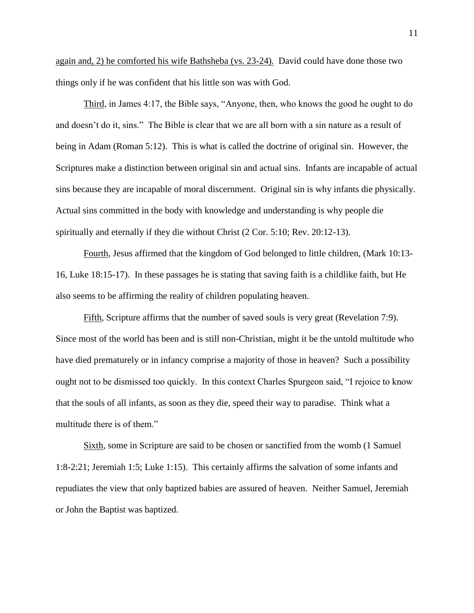again and, 2) he comforted his wife Bathsheba (vs. 23-24). David could have done those two things only if he was confident that his little son was with God.

Third, in James 4:17, the Bible says, "Anyone, then, who knows the good he ought to do and doesn't do it, sins." The Bible is clear that we are all born with a sin nature as a result of being in Adam (Roman 5:12). This is what is called the doctrine of original sin. However, the Scriptures make a distinction between original sin and actual sins. Infants are incapable of actual sins because they are incapable of moral discernment. Original sin is why infants die physically. Actual sins committed in the body with knowledge and understanding is why people die spiritually and eternally if they die without Christ (2 Cor. 5:10; Rev. 20:12-13).

Fourth, Jesus affirmed that the kingdom of God belonged to little children, (Mark 10:13- 16, Luke 18:15-17). In these passages he is stating that saving faith is a childlike faith, but He also seems to be affirming the reality of children populating heaven.

Fifth, Scripture affirms that the number of saved souls is very great (Revelation 7:9). Since most of the world has been and is still non-Christian, might it be the untold multitude who have died prematurely or in infancy comprise a majority of those in heaven? Such a possibility ought not to be dismissed too quickly. In this context Charles Spurgeon said, "I rejoice to know that the souls of all infants, as soon as they die, speed their way to paradise. Think what a multitude there is of them."

Sixth, some in Scripture are said to be chosen or sanctified from the womb (1 Samuel 1:8-2:21; Jeremiah 1:5; Luke 1:15). This certainly affirms the salvation of some infants and repudiates the view that only baptized babies are assured of heaven. Neither Samuel, Jeremiah or John the Baptist was baptized.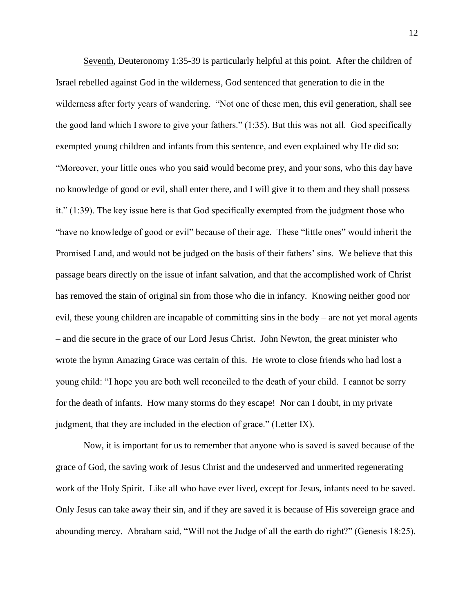Seventh, Deuteronomy 1:35-39 is particularly helpful at this point. After the children of Israel rebelled against God in the wilderness, God sentenced that generation to die in the wilderness after forty years of wandering. "Not one of these men, this evil generation, shall see the good land which I swore to give your fathers." (1:35). But this was not all. God specifically exempted young children and infants from this sentence, and even explained why He did so: "Moreover, your little ones who you said would become prey, and your sons, who this day have no knowledge of good or evil, shall enter there, and I will give it to them and they shall possess it." (1:39). The key issue here is that God specifically exempted from the judgment those who "have no knowledge of good or evil" because of their age. These "little ones" would inherit the Promised Land, and would not be judged on the basis of their fathers' sins. We believe that this passage bears directly on the issue of infant salvation, and that the accomplished work of Christ has removed the stain of original sin from those who die in infancy. Knowing neither good nor evil, these young children are incapable of committing sins in the body – are not yet moral agents – and die secure in the grace of our Lord Jesus Christ. John Newton, the great minister who wrote the hymn Amazing Grace was certain of this. He wrote to close friends who had lost a young child: "I hope you are both well reconciled to the death of your child. I cannot be sorry for the death of infants. How many storms do they escape! Nor can I doubt, in my private judgment, that they are included in the election of grace." (Letter IX).

Now, it is important for us to remember that anyone who is saved is saved because of the grace of God, the saving work of Jesus Christ and the undeserved and unmerited regenerating work of the Holy Spirit. Like all who have ever lived, except for Jesus, infants need to be saved. Only Jesus can take away their sin, and if they are saved it is because of His sovereign grace and abounding mercy. Abraham said, "Will not the Judge of all the earth do right?" (Genesis 18:25).